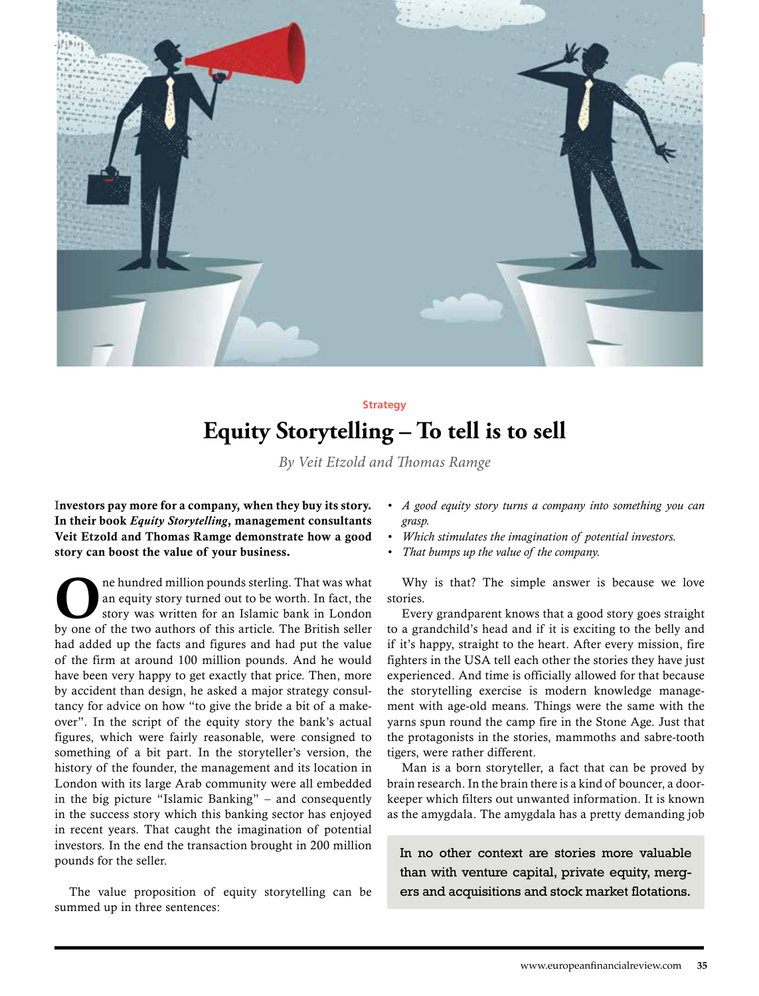

# **Equity Storytelling – To tell is to sell Strategy**

*By Veit Etzold and Thomas Ramge*

Investors pay more for a company, when they buy its story. In their book *Equity Storytelling*, management consultants Veit Etzold and Thomas Ramge demonstrate how a good story can boost the value of your business.

ne hundred million pounds sterling. That was what an equity story turned out to be worth. In fact, the story was written for an Islamic bank in London by one of the two authors of this article. The British seller had added up the facts and figures and had put the value of the firm at around 100 million pounds. And he would have been very happy to get exactly that price. Then, more by accident than design, he asked a major strategy consultancy for advice on how "to give the bride a bit of a makeover". In the script of the equity story the bank's actual figures, which were fairly reasonable, were consigned to something of a bit part. In the storyteller's version, the history of the founder, the management and its location in London with its large Arab community were all embedded in the big picture "Islamic Banking" – and consequently in the success story which this banking sector has enjoyed in recent years. That caught the imagination of potential investors. In the end the transaction brought in 200 million pounds for the seller.

The value proposition of equity storytelling can be summed up in three sentences:

- *• A good equity story turns a company into something you can grasp.*
- *• Which stimulates the imagination of potential investors.*
- *• That bumps up the value of the company.*

Why is that? The simple answer is because we love stories.

Every grandparent knows that a good story goes straight to a grandchild's head and if it is exciting to the belly and if it's happy, straight to the heart. After every mission, fire fighters in the USA tell each other the stories they have just experienced. And time is officially allowed for that because the storytelling exercise is modern knowledge management with age-old means. Things were the same with the yarns spun round the camp fire in the Stone Age. Just that the protagonists in the stories, mammoths and sabre-tooth tigers, were rather different.

Man is a born storyteller, a fact that can be proved by brain research. In the brain there is a kind of bouncer, a doorkeeper which filters out unwanted information. It is known as the amygdala. The amygdala has a pretty demanding job

In no other context are stories more valuable than with venture capital, private equity, mergers and acquisitions and stock market flotations.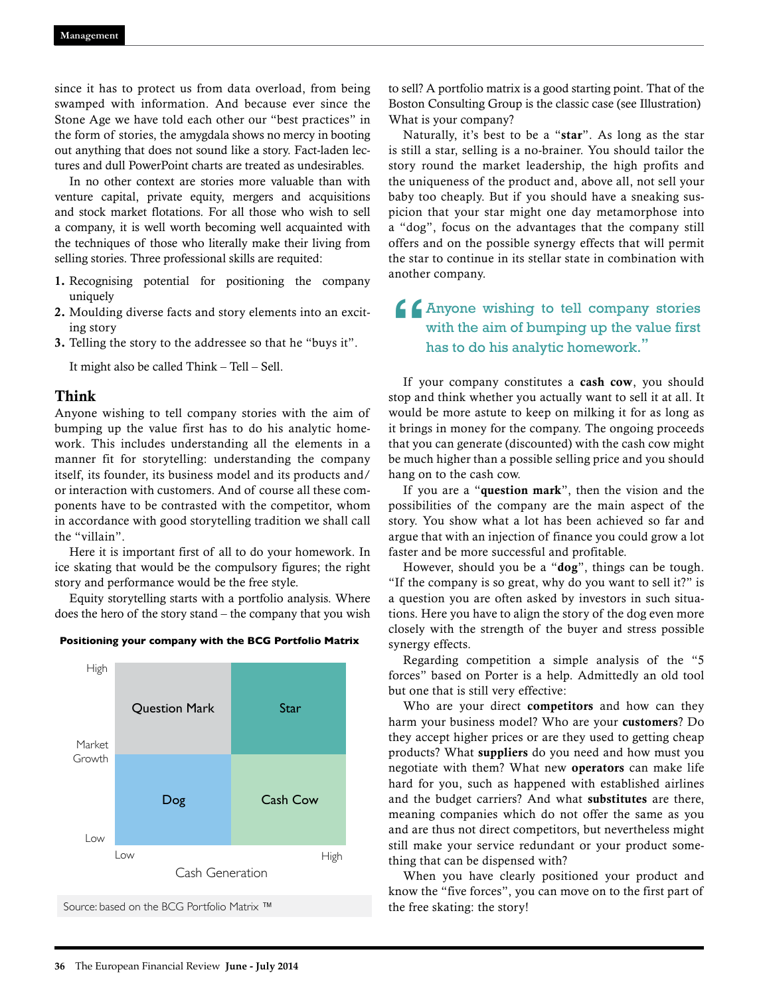since it has to protect us from data overload, from being swamped with information. And because ever since the Stone Age we have told each other our "best practices" in the form of stories, the amygdala shows no mercy in booting out anything that does not sound like a story. Fact-laden lectures and dull PowerPoint charts are treated as undesirables.

In no other context are stories more valuable than with venture capital, private equity, mergers and acquisitions and stock market flotations. For all those who wish to sell a company, it is well worth becoming well acquainted with the techniques of those who literally make their living from selling stories. Three professional skills are requited:

- 1. Recognising potential for positioning the company uniquely
- 2. Moulding diverse facts and story elements into an exciting story
- 3. Telling the story to the addressee so that he "buys it".

It might also be called Think – Tell – Sell.

#### Think

Anyone wishing to tell company stories with the aim of bumping up the value first has to do his analytic homework. This includes understanding all the elements in a manner fit for storytelling: understanding the company itself, its founder, its business model and its products and/ or interaction with customers. And of course all these components have to be contrasted with the competitor, whom in accordance with good storytelling tradition we shall call the "villain".

Here it is important first of all to do your homework. In ice skating that would be the compulsory figures; the right story and performance would be the free style.

Equity storytelling starts with a portfolio analysis. Where does the hero of the story stand – the company that you wish





to sell? A portfolio matrix is a good starting point. That of the Boston Consulting Group is the classic case (see Illustration) What is your company?

Naturally, it's best to be a "star". As long as the star is still a star, selling is a no-brainer. You should tailor the story round the market leadership, the high profits and the uniqueness of the product and, above all, not sell your baby too cheaply. But if you should have a sneaking suspicion that your star might one day metamorphose into a "dog", focus on the advantages that the company still offers and on the possible synergy effects that will permit the star to continue in its stellar state in combination with another company.

# **4** Anyone wishing to tell company stories with the aim of bumping up the value first has to do his analytic homework." with the aim of bumping up the value first has to do his analytic homework.**"**

If your company constitutes a cash cow, you should stop and think whether you actually want to sell it at all. It would be more astute to keep on milking it for as long as it brings in money for the company. The ongoing proceeds that you can generate (discounted) with the cash cow might be much higher than a possible selling price and you should hang on to the cash cow.

If you are a "question mark", then the vision and the possibilities of the company are the main aspect of the story. You show what a lot has been achieved so far and argue that with an injection of finance you could grow a lot faster and be more successful and profitable.

However, should you be a "dog", things can be tough. "If the company is so great, why do you want to sell it?" is a question you are often asked by investors in such situations. Here you have to align the story of the dog even more closely with the strength of the buyer and stress possible synergy effects.

Regarding competition a simple analysis of the "5 forces" based on Porter is a help. Admittedly an old tool but one that is still very effective:

Who are your direct **competitors** and how can they harm your business model? Who are your customers? Do they accept higher prices or are they used to getting cheap products? What suppliers do you need and how must you negotiate with them? What new operators can make life hard for you, such as happened with established airlines and the budget carriers? And what substitutes are there, meaning companies which do not offer the same as you and are thus not direct competitors, but nevertheless might still make your service redundant or your product something that can be dispensed with?

When you have clearly positioned your product and know the "five forces", you can move on to the first part of the free skating: the story!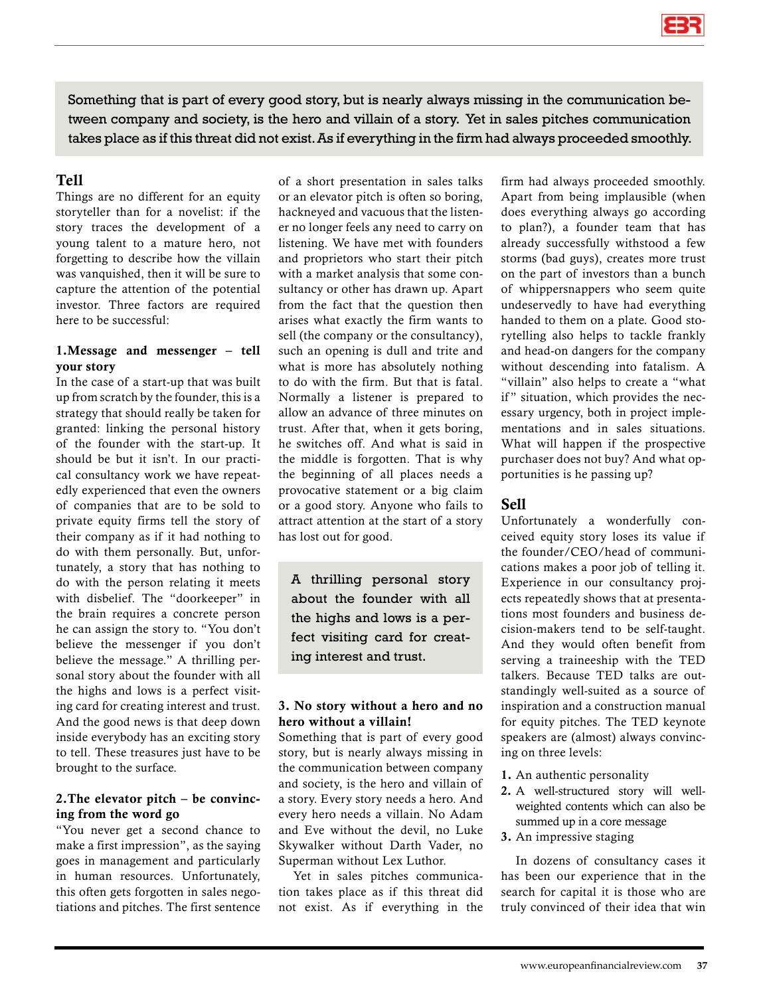

Something that is part of every good story, but is nearly always missing in the communication between company and society, is the hero and villain of a story. Yet in sales pitches communication takes place as if this threat did not exist. As if everything in the firm had always proceeded smoothly.

## Tell

Things are no different for an equity storyteller than for a novelist: if the story traces the development of a young talent to a mature hero, not forgetting to describe how the villain was vanquished, then it will be sure to capture the attention of the potential investor. Three factors are required here to be successful:

## 1.Message and messenger – tell your story

In the case of a start-up that was built up from scratch by the founder, this is a strategy that should really be taken for granted: linking the personal history of the founder with the start-up. It should be but it isn't. In our practical consultancy work we have repeatedly experienced that even the owners of companies that are to be sold to private equity firms tell the story of their company as if it had nothing to do with them personally. But, unfortunately, a story that has nothing to do with the person relating it meets with disbelief. The "doorkeeper" in the brain requires a concrete person he can assign the story to. "You don't believe the messenger if you don't believe the message." A thrilling personal story about the founder with all the highs and lows is a perfect visiting card for creating interest and trust. And the good news is that deep down inside everybody has an exciting story to tell. These treasures just have to be brought to the surface.

#### 2.The elevator pitch – be convincing from the word go

"You never get a second chance to make a first impression", as the saying goes in management and particularly in human resources. Unfortunately, this often gets forgotten in sales negotiations and pitches. The first sentence of a short presentation in sales talks or an elevator pitch is often so boring, hackneyed and vacuous that the listener no longer feels any need to carry on listening. We have met with founders and proprietors who start their pitch with a market analysis that some consultancy or other has drawn up. Apart from the fact that the question then arises what exactly the firm wants to sell (the company or the consultancy), such an opening is dull and trite and what is more has absolutely nothing to do with the firm. But that is fatal. Normally a listener is prepared to allow an advance of three minutes on trust. After that, when it gets boring, he switches off. And what is said in the middle is forgotten. That is why the beginning of all places needs a provocative statement or a big claim or a good story. Anyone who fails to attract attention at the start of a story has lost out for good.

A thrilling personal story about the founder with all the highs and lows is a perfect visiting card for creating interest and trust.

#### 3. No story without a hero and no hero without a villain!

Something that is part of every good story, but is nearly always missing in the communication between company and society, is the hero and villain of a story. Every story needs a hero. And every hero needs a villain. No Adam and Eve without the devil, no Luke Skywalker without Darth Vader, no Superman without Lex Luthor.

Yet in sales pitches communication takes place as if this threat did not exist. As if everything in the firm had always proceeded smoothly. Apart from being implausible (when does everything always go according to plan?), a founder team that has already successfully withstood a few storms (bad guys), creates more trust on the part of investors than a bunch of whippersnappers who seem quite undeservedly to have had everything handed to them on a plate. Good storytelling also helps to tackle frankly and head-on dangers for the company without descending into fatalism. A "villain" also helps to create a "what if" situation, which provides the necessary urgency, both in project implementations and in sales situations. What will happen if the prospective purchaser does not buy? And what opportunities is he passing up?

## Sell

Unfortunately a wonderfully conceived equity story loses its value if the founder/CEO/head of communications makes a poor job of telling it. Experience in our consultancy projects repeatedly shows that at presentations most founders and business decision-makers tend to be self-taught. And they would often benefit from serving a traineeship with the TED talkers. Because TED talks are outstandingly well-suited as a source of inspiration and a construction manual for equity pitches. The TED keynote speakers are (almost) always convincing on three levels:

- 1. An authentic personality
- 2. A well-structured story will wellweighted contents which can also be summed up in a core message
- 3. An impressive staging

In dozens of consultancy cases it has been our experience that in the search for capital it is those who are truly convinced of their idea that win